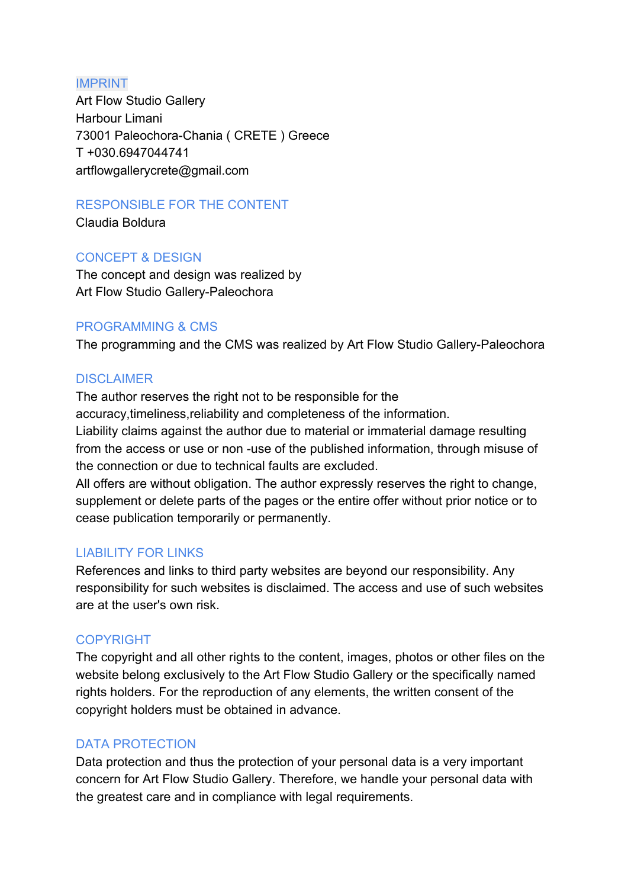#### IMPRINT

Art Flow Studio Gallery Harbour Limani 73001 Paleochora-Chania ( CRETE ) Greece T +030.6947044741 artflowgallerycrete@gmail.com

### RESPONSIBLE FOR THE CONTENT

Claudia Boldura

# CONCEPT & DESIGN

The concept and design was realized by Art Flow Studio Gallery-Paleochora

## PROGRAMMING & CMS

The programming and the CMS was realized by Art Flow Studio Gallery-Paleochora

## **DISCLAIMER**

The author reserves the right not to be responsible for the accuracy,timeliness,reliability and completeness of the information. Liability claims against the author due to material or immaterial damage resulting from the access or use or non -use of the published information, through misuse of the connection or due to technical faults are excluded.

All offers are without obligation. The author expressly reserves the right to change, supplement or delete parts of the pages or the entire offer without prior notice or to cease publication temporarily or permanently.

### LIABILITY FOR LINKS

References and links to third party websites are beyond our responsibility. Any responsibility for such websites is disclaimed. The access and use of such websites are at the user's own risk.

### COPYRIGHT

The copyright and all other rights to the content, images, photos or other files on the website belong exclusively to the Art Flow Studio Gallery or the specifically named rights holders. For the reproduction of any elements, the written consent of the copyright holders must be obtained in advance.

# DATA PROTECTION

Data protection and thus the protection of your personal data is a very important concern for Art Flow Studio Gallery. Therefore, we handle your personal data with the greatest care and in compliance with legal requirements.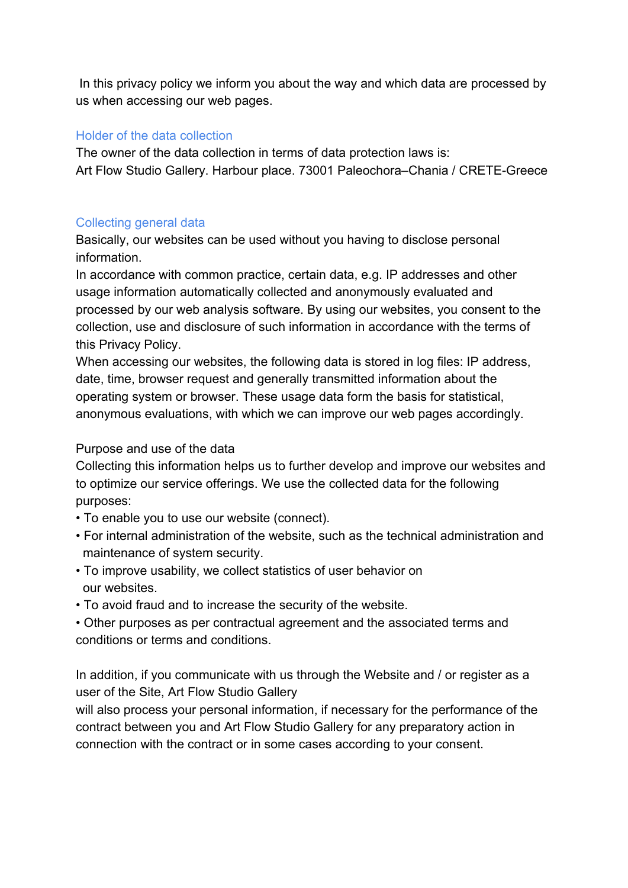In this privacy policy we inform you about the way and which data are processed by us when accessing our web pages.

#### Holder of the data collection

The owner of the data collection in terms of data protection laws is: Art Flow Studio Gallery. Harbour place. 73001 Paleochora–Chania / CRETE-Greece

### Collecting general data

Basically, our websites can be used without you having to disclose personal information.

In accordance with common practice, certain data, e.g. IP addresses and other usage information automatically collected and anonymously evaluated and processed by our web analysis software. By using our websites, you consent to the collection, use and disclosure of such information in accordance with the terms of this Privacy Policy.

When accessing our websites, the following data is stored in log files: IP address, date, time, browser request and generally transmitted information about the operating system or browser. These usage data form the basis for statistical, anonymous evaluations, with which we can improve our web pages accordingly.

#### Purpose and use of the data

Collecting this information helps us to further develop and improve our websites and to optimize our service offerings. We use the collected data for the following purposes:

- To enable you to use our website (connect).
- For internal administration of the website, such as the technical administration and maintenance of system security.
- To improve usability, we collect statistics of user behavior on our websites.
- To avoid fraud and to increase the security of the website.

• Other purposes as per contractual agreement and the associated terms and conditions or terms and conditions.

In addition, if you communicate with us through the Website and / or register as a user of the Site, Art Flow Studio Gallery

will also process your personal information, if necessary for the performance of the contract between you and Art Flow Studio Gallery for any preparatory action in connection with the contract or in some cases according to your consent.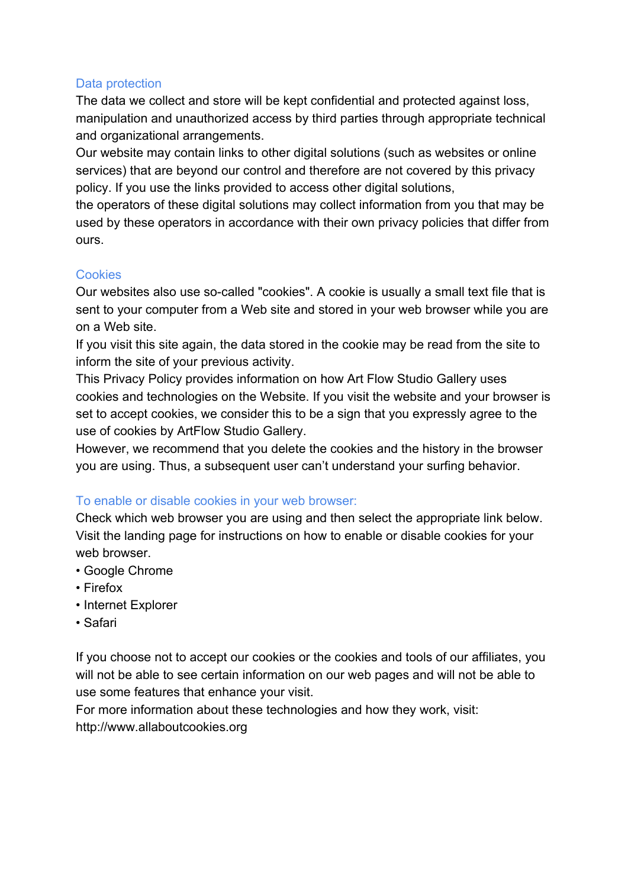### Data protection

The data we collect and store will be kept confidential and protected against loss, manipulation and unauthorized access by third parties through appropriate technical and organizational arrangements.

Our website may contain links to other digital solutions (such as websites or online services) that are beyond our control and therefore are not covered by this privacy policy. If you use the links provided to access other digital solutions,

the operators of these digital solutions may collect information from you that may be used by these operators in accordance with their own privacy policies that differ from ours.

# **Cookies**

Our websites also use so-called "cookies". A cookie is usually a small text file that is sent to your computer from a Web site and stored in your web browser while you are on a Web site.

If you visit this site again, the data stored in the cookie may be read from the site to inform the site of your previous activity.

This Privacy Policy provides information on how Art Flow Studio Gallery uses cookies and technologies on the Website. If you visit the website and your browser is set to accept cookies, we consider this to be a sign that you expressly agree to the use of cookies by ArtFlow Studio Gallery.

However, we recommend that you delete the cookies and the history in the browser you are using. Thus, a subsequent user can't understand your surfing behavior.

# To enable or disable cookies in your web browser:

Check which web browser you are using and then select the appropriate link below. Visit the landing page for instructions on how to enable or disable cookies for your web browser.

- Google Chrome
- Firefox
- Internet Explorer
- Safari

If you choose not to accept our cookies or the cookies and tools of our affiliates, you will not be able to see certain information on our web pages and will not be able to use some features that enhance your visit.

For more information about these technologies and how they work, visit: http://www.allaboutcookies.org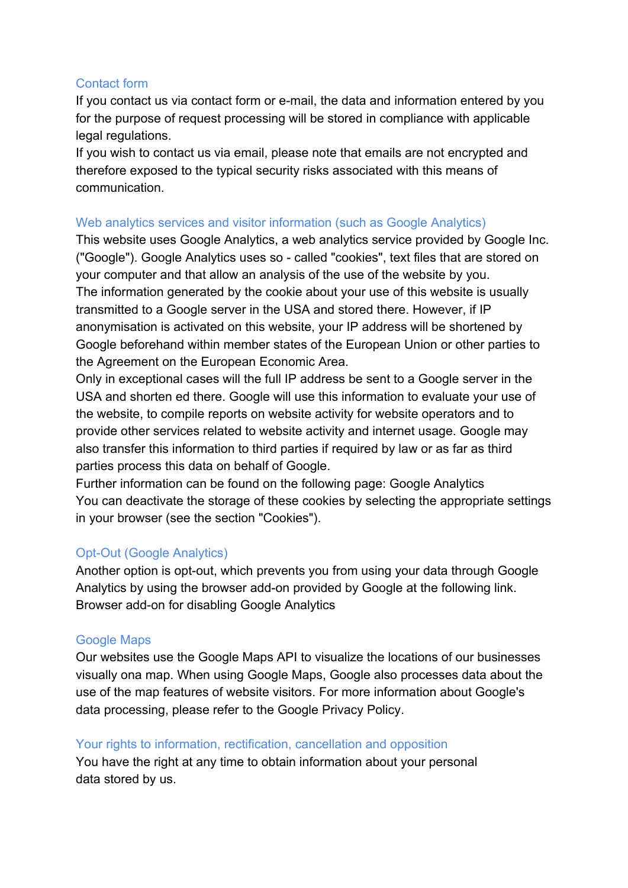#### Contact form

If you contact us via contact form or e-mail, the data and information entered by you for the purpose of request processing will be stored in compliance with applicable legal regulations.

If you wish to contact us via email, please note that emails are not encrypted and therefore exposed to the typical security risks associated with this means of communication.

#### Web analytics services and visitor information (such as Google Analytics)

This website uses Google Analytics, a web analytics service provided by Google Inc. ("Google"). Google Analytics uses so - called "cookies", text files that are stored on your computer and that allow an analysis of the use of the website by you. The information generated by the cookie about your use of this website is usually transmitted to a Google server in the USA and stored there. However, if IP anonymisation is activated on this website, your IP address will be shortened by Google beforehand within member states of the European Union or other parties to the Agreement on the European Economic Area.

Only in exceptional cases will the full IP address be sent to a Google server in the USA and shorten ed there. Google will use this information to evaluate your use of the website, to compile reports on website activity for website operators and to provide other services related to website activity and internet usage. Google may also transfer this information to third parties if required by law or as far as third parties process this data on behalf of Google.

Further information can be found on the following page: Google Analytics You can deactivate the storage of these cookies by selecting the appropriate settings in your browser (see the section "Cookies").

# Opt-Out (Google Analytics)

Another option is opt-out, which prevents you from using your data through Google Analytics by using the browser add-on provided by Google at the following link. Browser add-on for disabling Google Analytics

### Google Maps

Our websites use the Google Maps API to visualize the locations of our businesses visually ona map. When using Google Maps, Google also processes data about the use of the map features of website visitors. For more information about Google's data processing, please refer to the Google Privacy Policy.

#### Your rights to information, rectification, cancellation and opposition

You have the right at any time to obtain information about your personal data stored by us.